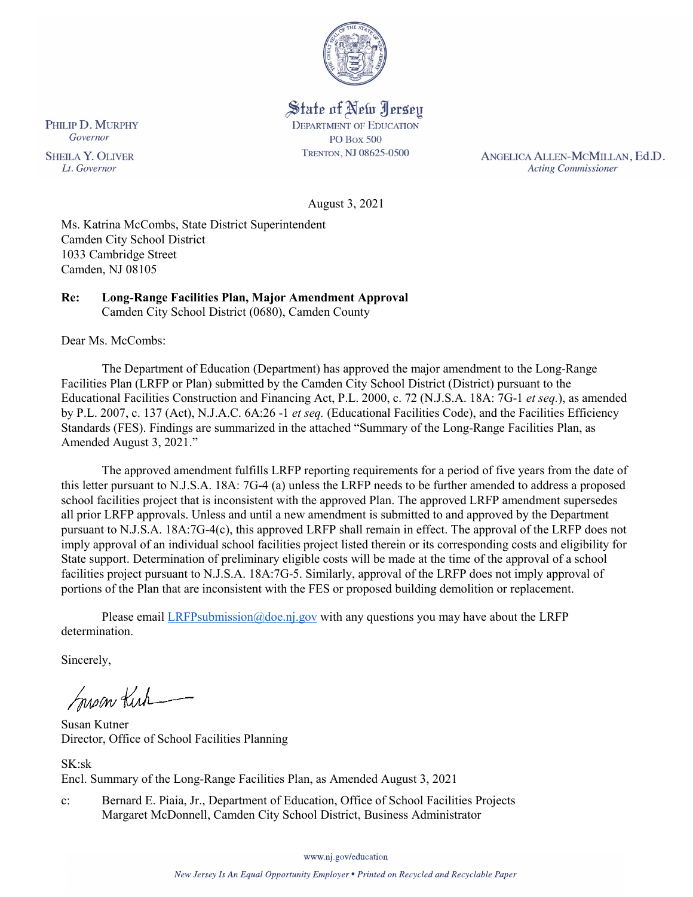

State of New Jersey **DEPARTMENT OF EDUCATION PO Box 500** TRENTON, NJ 08625-0500

ANGELICA ALLEN-MCMILLAN, Ed.D. **Acting Commissioner** 

August 3, 2021

Ms. Katrina McCombs, State District Superintendent Camden City School District 1033 Cambridge Street Camden, NJ 08105

#### **Re: Long-Range Facilities Plan, Major Amendment Approval**  Camden City School District (0680), Camden County

Dear Ms. McCombs:

The Department of Education (Department) has approved the major amendment to the Long-Range Facilities Plan (LRFP or Plan) submitted by the Camden City School District (District) pursuant to the Educational Facilities Construction and Financing Act, P.L. 2000, c. 72 (N.J.S.A. 18A: 7G-1 *et seq.*), as amended by P.L. 2007, c. 137 (Act), N.J.A.C. 6A:26 -1 *et seq.* (Educational Facilities Code), and the Facilities Efficiency Standards (FES). Findings are summarized in the attached "Summary of the Long-Range Facilities Plan, as Amended August 3, 2021."

The approved amendment fulfills LRFP reporting requirements for a period of five years from the date of this letter pursuant to N.J.S.A. 18A: 7G-4 (a) unless the LRFP needs to be further amended to address a proposed school facilities project that is inconsistent with the approved Plan. The approved LRFP amendment supersedes all prior LRFP approvals. Unless and until a new amendment is submitted to and approved by the Department pursuant to N.J.S.A. 18A:7G-4(c), this approved LRFP shall remain in effect. The approval of the LRFP does not imply approval of an individual school facilities project listed therein or its corresponding costs and eligibility for State support. Determination of preliminary eligible costs will be made at the time of the approval of a school facilities project pursuant to N.J.S.A. 18A:7G-5. Similarly, approval of the LRFP does not imply approval of portions of the Plan that are inconsistent with the FES or proposed building demolition or replacement.

Please email  $LRFP submission@doe.nj.gov$  with any questions you may have about the LRFP determination.

Sincerely,

Susan Kich

Susan Kutner Director, Office of School Facilities Planning

SK:sk Encl. Summary of the Long-Range Facilities Plan, as Amended August 3, 2021

c: Bernard E. Piaia, Jr., Department of Education, Office of School Facilities Projects Margaret McDonnell, Camden City School District, Business Administrator

www.nj.gov/education

PHILIP D. MURPHY Governor

**SHEILA Y. OLIVER** Lt. Governor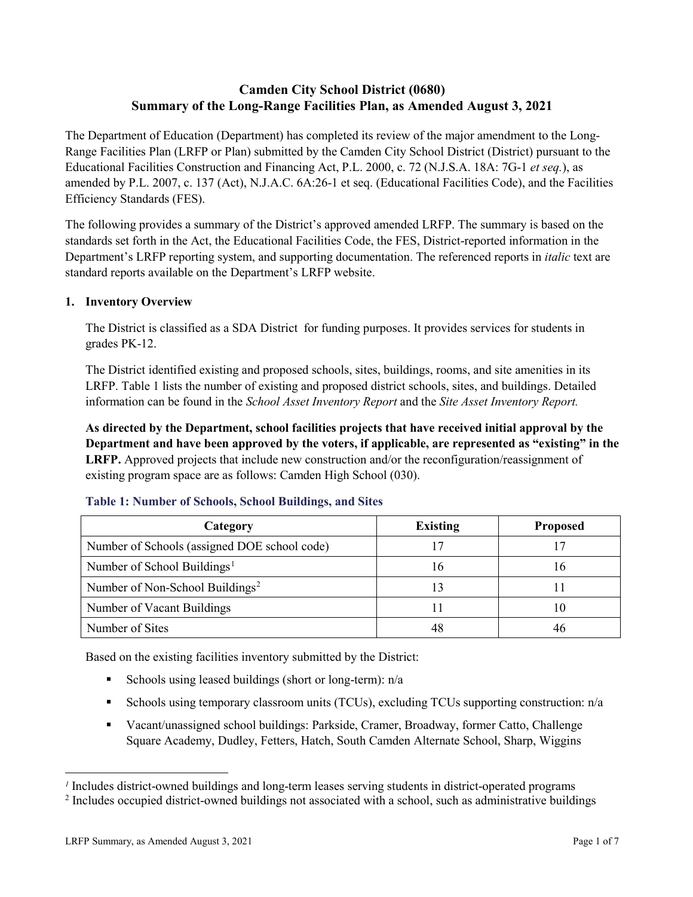# **Camden City School District (0680) Summary of the Long-Range Facilities Plan, as Amended August 3, 2021**

The Department of Education (Department) has completed its review of the major amendment to the Long-Range Facilities Plan (LRFP or Plan) submitted by the Camden City School District (District) pursuant to the Educational Facilities Construction and Financing Act, P.L. 2000, c. 72 (N.J.S.A. 18A: 7G-1 *et seq.*), as amended by P.L. 2007, c. 137 (Act), N.J.A.C. 6A:26-1 et seq. (Educational Facilities Code), and the Facilities Efficiency Standards (FES).

The following provides a summary of the District's approved amended LRFP. The summary is based on the standards set forth in the Act, the Educational Facilities Code, the FES, District-reported information in the Department's LRFP reporting system, and supporting documentation. The referenced reports in *italic* text are standard reports available on the Department's LRFP website.

# **1. Inventory Overview**

The District is classified as a SDA District for funding purposes. It provides services for students in grades PK-12.

The District identified existing and proposed schools, sites, buildings, rooms, and site amenities in its LRFP. Table 1 lists the number of existing and proposed district schools, sites, and buildings. Detailed information can be found in the *School Asset Inventory Report* and the *Site Asset Inventory Report.*

**As directed by the Department, school facilities projects that have received initial approval by the Department and have been approved by the voters, if applicable, are represented as "existing" in the LRFP.** Approved projects that include new construction and/or the reconfiguration/reassignment of existing program space are as follows: Camden High School (030).

| Category                                     | <b>Existing</b> | <b>Proposed</b> |
|----------------------------------------------|-----------------|-----------------|
| Number of Schools (assigned DOE school code) | 17              |                 |
| Number of School Buildings <sup>1</sup>      | 16              | 16              |
| Number of Non-School Buildings <sup>2</sup>  |                 |                 |
| Number of Vacant Buildings                   |                 | 1 O             |
| Number of Sites                              |                 |                 |

# **Table 1: Number of Schools, School Buildings, and Sites**

Based on the existing facilities inventory submitted by the District:

- Schools using leased buildings (short or long-term):  $n/a$
- Schools using temporary classroom units (TCUs), excluding TCUs supporting construction:  $n/a$
- Vacant/unassigned school buildings: Parkside, Cramer, Broadway, former Catto, Challenge Square Academy, Dudley, Fetters, Hatch, South Camden Alternate School, Sharp, Wiggins

 $\overline{a}$ 

<span id="page-1-1"></span><span id="page-1-0"></span>*<sup>1</sup>* Includes district-owned buildings and long-term leases serving students in district-operated programs

<sup>&</sup>lt;sup>2</sup> Includes occupied district-owned buildings not associated with a school, such as administrative buildings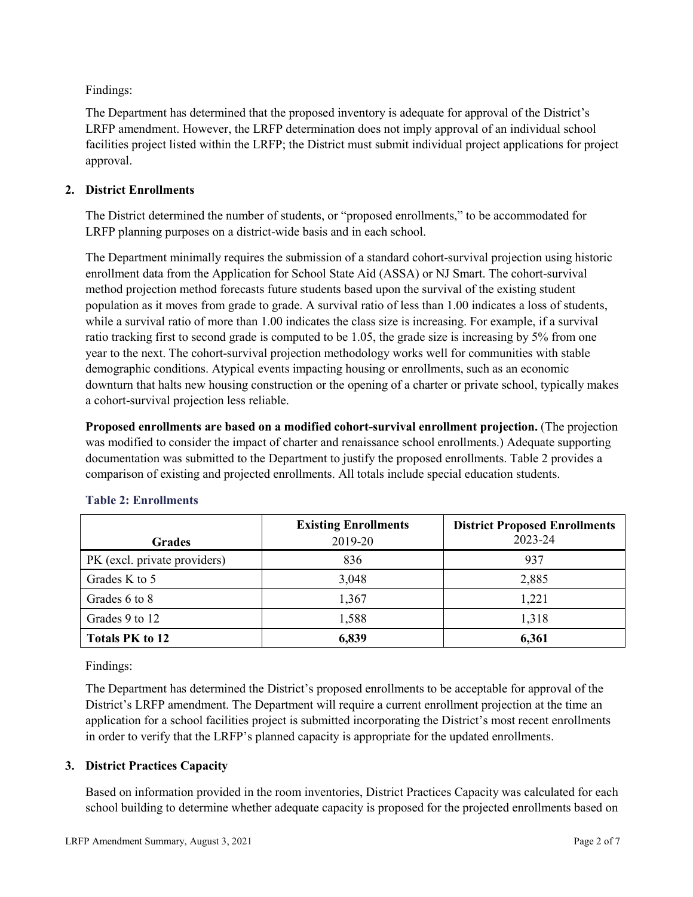Findings:

The Department has determined that the proposed inventory is adequate for approval of the District's LRFP amendment. However, the LRFP determination does not imply approval of an individual school facilities project listed within the LRFP; the District must submit individual project applications for project approval.

# **2. District Enrollments**

The District determined the number of students, or "proposed enrollments," to be accommodated for LRFP planning purposes on a district-wide basis and in each school.

The Department minimally requires the submission of a standard cohort-survival projection using historic enrollment data from the Application for School State Aid (ASSA) or NJ Smart. The cohort-survival method projection method forecasts future students based upon the survival of the existing student population as it moves from grade to grade. A survival ratio of less than 1.00 indicates a loss of students, while a survival ratio of more than 1.00 indicates the class size is increasing. For example, if a survival ratio tracking first to second grade is computed to be 1.05, the grade size is increasing by 5% from one year to the next. The cohort-survival projection methodology works well for communities with stable demographic conditions. Atypical events impacting housing or enrollments, such as an economic downturn that halts new housing construction or the opening of a charter or private school, typically makes a cohort-survival projection less reliable.

**Proposed enrollments are based on a modified cohort-survival enrollment projection.** (The projection was modified to consider the impact of charter and renaissance school enrollments.) Adequate supporting documentation was submitted to the Department to justify the proposed enrollments. Table 2 provides a comparison of existing and projected enrollments. All totals include special education students.

|                              | <b>Existing Enrollments</b> | <b>District Proposed Enrollments</b> |
|------------------------------|-----------------------------|--------------------------------------|
| <b>Grades</b>                | 2019-20                     | 2023-24                              |
| PK (excl. private providers) | 836                         | 937                                  |
| Grades K to 5                | 3,048                       | 2,885                                |
| Grades 6 to 8                | 1,367                       | 1,221                                |
| Grades 9 to 12               | 1,588                       | 1,318                                |
| <b>Totals PK to 12</b>       | 6,839                       | 6,361                                |

# **Table 2: Enrollments**

Findings:

The Department has determined the District's proposed enrollments to be acceptable for approval of the District's LRFP amendment. The Department will require a current enrollment projection at the time an application for a school facilities project is submitted incorporating the District's most recent enrollments in order to verify that the LRFP's planned capacity is appropriate for the updated enrollments.

# **3. District Practices Capacity**

Based on information provided in the room inventories, District Practices Capacity was calculated for each school building to determine whether adequate capacity is proposed for the projected enrollments based on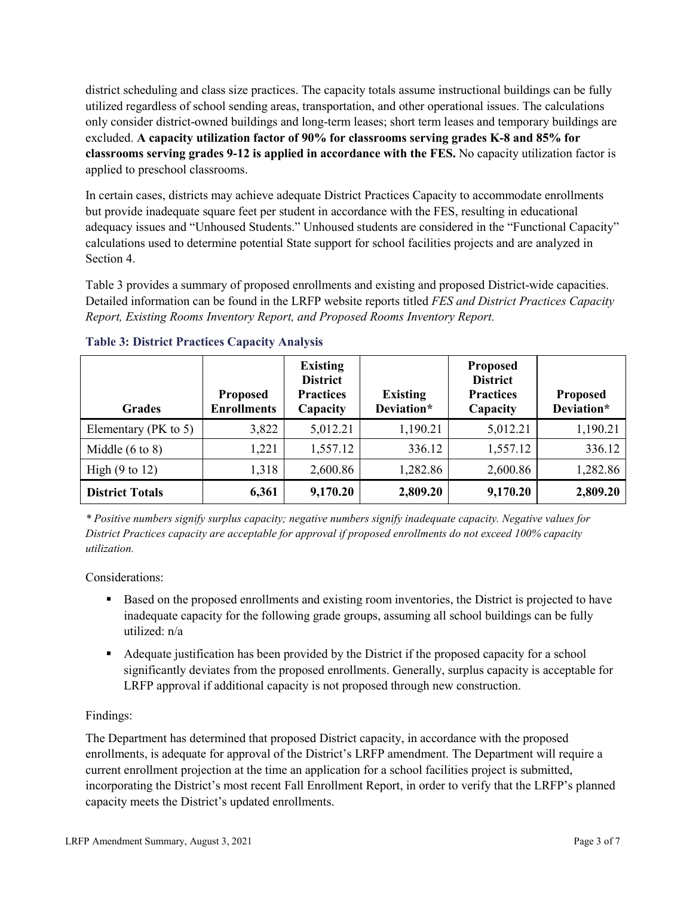district scheduling and class size practices. The capacity totals assume instructional buildings can be fully utilized regardless of school sending areas, transportation, and other operational issues. The calculations only consider district-owned buildings and long-term leases; short term leases and temporary buildings are excluded. **A capacity utilization factor of 90% for classrooms serving grades K-8 and 85% for classrooms serving grades 9-12 is applied in accordance with the FES.** No capacity utilization factor is applied to preschool classrooms.

In certain cases, districts may achieve adequate District Practices Capacity to accommodate enrollments but provide inadequate square feet per student in accordance with the FES, resulting in educational adequacy issues and "Unhoused Students." Unhoused students are considered in the "Functional Capacity" calculations used to determine potential State support for school facilities projects and are analyzed in Section 4.

Table 3 provides a summary of proposed enrollments and existing and proposed District-wide capacities. Detailed information can be found in the LRFP website reports titled *FES and District Practices Capacity Report, Existing Rooms Inventory Report, and Proposed Rooms Inventory Report.*

| <b>Grades</b>              | <b>Proposed</b><br><b>Enrollments</b> | <b>Existing</b><br><b>District</b><br><b>Practices</b><br>Capacity | <b>Existing</b><br>Deviation* | <b>Proposed</b><br><b>District</b><br><b>Practices</b><br>Capacity | <b>Proposed</b><br>Deviation* |
|----------------------------|---------------------------------------|--------------------------------------------------------------------|-------------------------------|--------------------------------------------------------------------|-------------------------------|
| Elementary ( $PK$ to 5)    | 3,822                                 | 5,012.21                                                           | 1,190.21                      | 5,012.21                                                           | 1,190.21                      |
| Middle $(6 \text{ to } 8)$ | 1,221                                 | 1,557.12                                                           | 336.12                        | 1,557.12                                                           | 336.12                        |
| High $(9 \text{ to } 12)$  | 1,318                                 | 2,600.86                                                           | 1,282.86                      | 2,600.86                                                           | 1,282.86                      |
| <b>District Totals</b>     | 6,361                                 | 9,170.20                                                           | 2,809.20                      | 9,170.20                                                           | 2,809.20                      |

# **Table 3: District Practices Capacity Analysis**

*\* Positive numbers signify surplus capacity; negative numbers signify inadequate capacity. Negative values for District Practices capacity are acceptable for approval if proposed enrollments do not exceed 100% capacity utilization.*

Considerations:

- Based on the proposed enrollments and existing room inventories, the District is projected to have inadequate capacity for the following grade groups, assuming all school buildings can be fully utilized: n/a
- Adequate justification has been provided by the District if the proposed capacity for a school significantly deviates from the proposed enrollments. Generally, surplus capacity is acceptable for LRFP approval if additional capacity is not proposed through new construction.

# Findings:

The Department has determined that proposed District capacity, in accordance with the proposed enrollments, is adequate for approval of the District's LRFP amendment. The Department will require a current enrollment projection at the time an application for a school facilities project is submitted, incorporating the District's most recent Fall Enrollment Report, in order to verify that the LRFP's planned capacity meets the District's updated enrollments.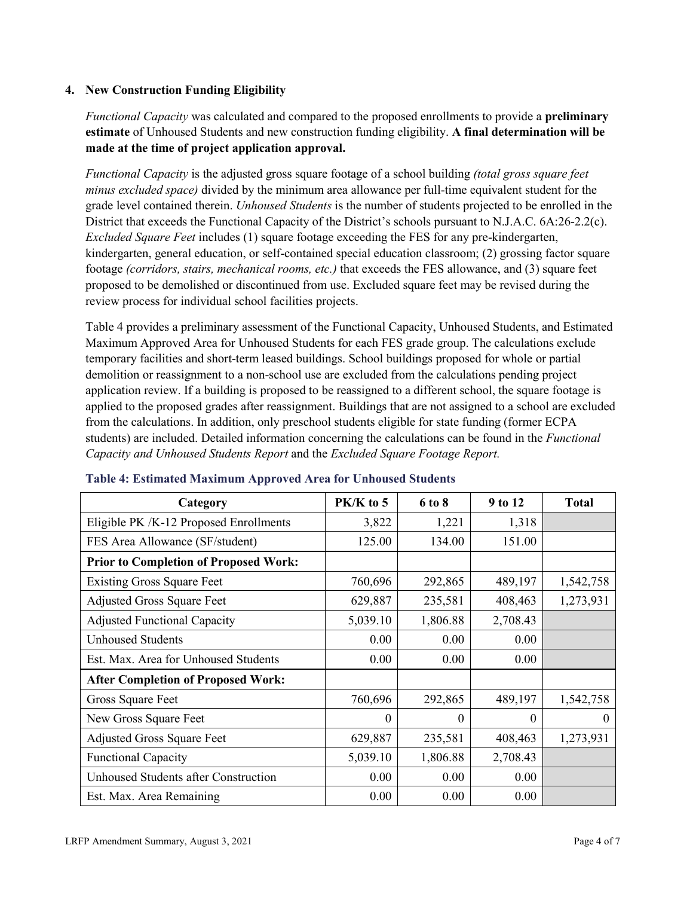# **4. New Construction Funding Eligibility**

*Functional Capacity* was calculated and compared to the proposed enrollments to provide a **preliminary estimate** of Unhoused Students and new construction funding eligibility. **A final determination will be made at the time of project application approval.**

*Functional Capacity* is the adjusted gross square footage of a school building *(total gross square feet minus excluded space)* divided by the minimum area allowance per full-time equivalent student for the grade level contained therein. *Unhoused Students* is the number of students projected to be enrolled in the District that exceeds the Functional Capacity of the District's schools pursuant to N.J.A.C. 6A:26-2.2(c). *Excluded Square Feet* includes (1) square footage exceeding the FES for any pre-kindergarten, kindergarten, general education, or self-contained special education classroom; (2) grossing factor square footage *(corridors, stairs, mechanical rooms, etc.)* that exceeds the FES allowance, and (3) square feet proposed to be demolished or discontinued from use. Excluded square feet may be revised during the review process for individual school facilities projects.

Table 4 provides a preliminary assessment of the Functional Capacity, Unhoused Students, and Estimated Maximum Approved Area for Unhoused Students for each FES grade group. The calculations exclude temporary facilities and short-term leased buildings. School buildings proposed for whole or partial demolition or reassignment to a non-school use are excluded from the calculations pending project application review. If a building is proposed to be reassigned to a different school, the square footage is applied to the proposed grades after reassignment. Buildings that are not assigned to a school are excluded from the calculations. In addition, only preschool students eligible for state funding (former ECPA students) are included. Detailed information concerning the calculations can be found in the *Functional Capacity and Unhoused Students Report* and the *Excluded Square Footage Report.*

| Category                                     | PK/K to 5 | 6 to 8   | 9 to 12  | <b>Total</b> |
|----------------------------------------------|-----------|----------|----------|--------------|
| Eligible PK /K-12 Proposed Enrollments       | 3,822     | 1,221    | 1,318    |              |
| FES Area Allowance (SF/student)              | 125.00    | 134.00   | 151.00   |              |
| <b>Prior to Completion of Proposed Work:</b> |           |          |          |              |
| <b>Existing Gross Square Feet</b>            | 760,696   | 292,865  | 489,197  | 1,542,758    |
| <b>Adjusted Gross Square Feet</b>            | 629,887   | 235,581  | 408,463  | 1,273,931    |
| <b>Adjusted Functional Capacity</b>          | 5,039.10  | 1,806.88 | 2,708.43 |              |
| <b>Unhoused Students</b>                     | 0.00      | 0.00     | 0.00     |              |
| Est. Max. Area for Unhoused Students         | 0.00      | 0.00     | 0.00     |              |
| <b>After Completion of Proposed Work:</b>    |           |          |          |              |
| Gross Square Feet                            | 760,696   | 292,865  | 489,197  | 1,542,758    |
| New Gross Square Feet                        | $\theta$  | 0        | $\theta$ | $\Omega$     |
| <b>Adjusted Gross Square Feet</b>            | 629,887   | 235,581  | 408,463  | 1,273,931    |
| <b>Functional Capacity</b>                   | 5,039.10  | 1,806.88 | 2,708.43 |              |
| <b>Unhoused Students after Construction</b>  | 0.00      | 0.00     | 0.00     |              |
| Est. Max. Area Remaining                     | 0.00      | 0.00     | 0.00     |              |

### **Table 4: Estimated Maximum Approved Area for Unhoused Students**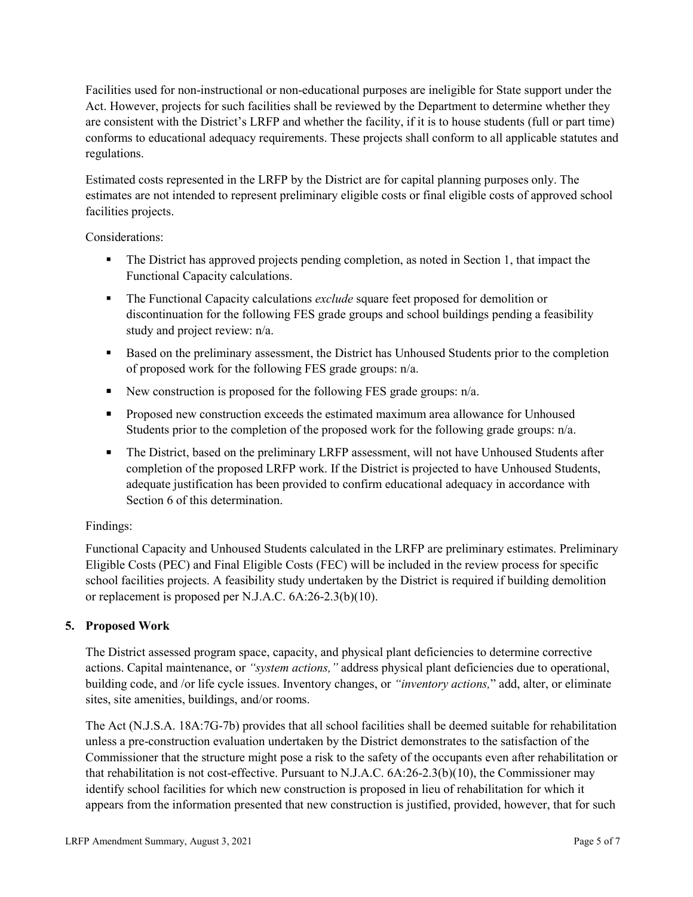Facilities used for non-instructional or non-educational purposes are ineligible for State support under the Act. However, projects for such facilities shall be reviewed by the Department to determine whether they are consistent with the District's LRFP and whether the facility, if it is to house students (full or part time) conforms to educational adequacy requirements. These projects shall conform to all applicable statutes and regulations.

Estimated costs represented in the LRFP by the District are for capital planning purposes only. The estimates are not intended to represent preliminary eligible costs or final eligible costs of approved school facilities projects.

Considerations:

- The District has approved projects pending completion, as noted in Section 1, that impact the Functional Capacity calculations.
- The Functional Capacity calculations *exclude* square feet proposed for demolition or discontinuation for the following FES grade groups and school buildings pending a feasibility study and project review: n/a.
- **Based on the preliminary assessment, the District has Unhoused Students prior to the completion** of proposed work for the following FES grade groups: n/a.
- New construction is proposed for the following FES grade groups: n/a.
- Proposed new construction exceeds the estimated maximum area allowance for Unhoused Students prior to the completion of the proposed work for the following grade groups: n/a.
- The District, based on the preliminary LRFP assessment, will not have Unhoused Students after completion of the proposed LRFP work. If the District is projected to have Unhoused Students, adequate justification has been provided to confirm educational adequacy in accordance with Section 6 of this determination.

# Findings:

Functional Capacity and Unhoused Students calculated in the LRFP are preliminary estimates. Preliminary Eligible Costs (PEC) and Final Eligible Costs (FEC) will be included in the review process for specific school facilities projects. A feasibility study undertaken by the District is required if building demolition or replacement is proposed per N.J.A.C. 6A:26-2.3(b)(10).

# **5. Proposed Work**

The District assessed program space, capacity, and physical plant deficiencies to determine corrective actions. Capital maintenance, or *"system actions,"* address physical plant deficiencies due to operational, building code, and /or life cycle issues. Inventory changes, or *"inventory actions,*" add, alter, or eliminate sites, site amenities, buildings, and/or rooms.

The Act (N.J.S.A. 18A:7G-7b) provides that all school facilities shall be deemed suitable for rehabilitation unless a pre-construction evaluation undertaken by the District demonstrates to the satisfaction of the Commissioner that the structure might pose a risk to the safety of the occupants even after rehabilitation or that rehabilitation is not cost-effective. Pursuant to N.J.A.C. 6A:26-2.3(b)(10), the Commissioner may identify school facilities for which new construction is proposed in lieu of rehabilitation for which it appears from the information presented that new construction is justified, provided, however, that for such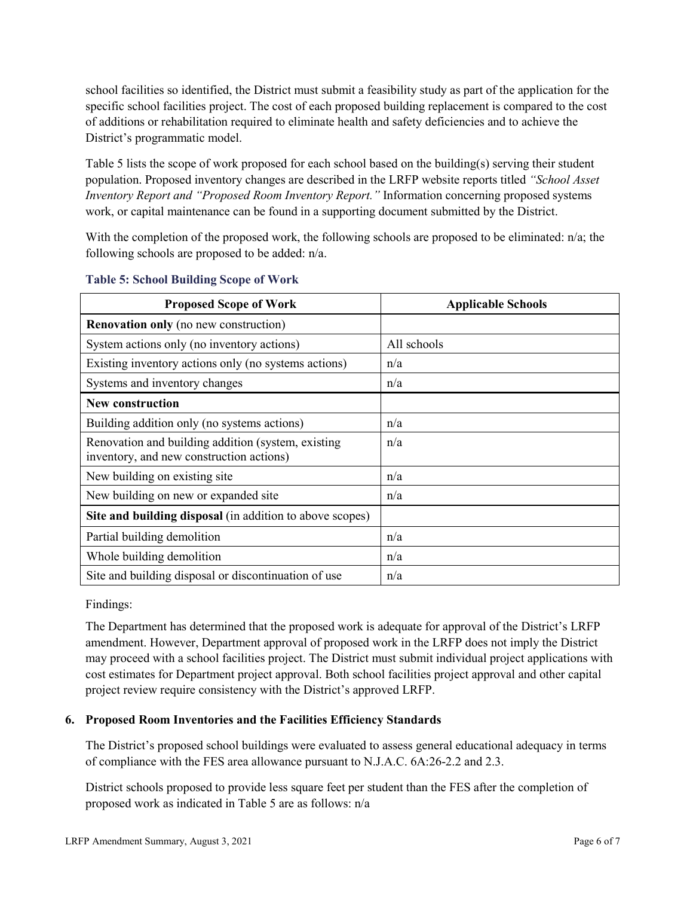school facilities so identified, the District must submit a feasibility study as part of the application for the specific school facilities project. The cost of each proposed building replacement is compared to the cost of additions or rehabilitation required to eliminate health and safety deficiencies and to achieve the District's programmatic model.

Table 5 lists the scope of work proposed for each school based on the building(s) serving their student population. Proposed inventory changes are described in the LRFP website reports titled *"School Asset Inventory Report and "Proposed Room Inventory Report."* Information concerning proposed systems work, or capital maintenance can be found in a supporting document submitted by the District.

With the completion of the proposed work, the following schools are proposed to be eliminated:  $n/a$ ; the following schools are proposed to be added: n/a.

| <b>Proposed Scope of Work</b>                                                                  | <b>Applicable Schools</b> |
|------------------------------------------------------------------------------------------------|---------------------------|
| <b>Renovation only</b> (no new construction)                                                   |                           |
| System actions only (no inventory actions)                                                     | All schools               |
| Existing inventory actions only (no systems actions)                                           | n/a                       |
| Systems and inventory changes                                                                  | n/a                       |
| <b>New construction</b>                                                                        |                           |
| Building addition only (no systems actions)                                                    | n/a                       |
| Renovation and building addition (system, existing<br>inventory, and new construction actions) | n/a                       |
| New building on existing site                                                                  | n/a                       |
| New building on new or expanded site                                                           | n/a                       |
| Site and building disposal (in addition to above scopes)                                       |                           |
| Partial building demolition                                                                    | n/a                       |
| Whole building demolition                                                                      | n/a                       |
| Site and building disposal or discontinuation of use                                           | n/a                       |

### **Table 5: School Building Scope of Work**

Findings:

The Department has determined that the proposed work is adequate for approval of the District's LRFP amendment. However, Department approval of proposed work in the LRFP does not imply the District may proceed with a school facilities project. The District must submit individual project applications with cost estimates for Department project approval. Both school facilities project approval and other capital project review require consistency with the District's approved LRFP.

# **6. Proposed Room Inventories and the Facilities Efficiency Standards**

The District's proposed school buildings were evaluated to assess general educational adequacy in terms of compliance with the FES area allowance pursuant to N.J.A.C. 6A:26-2.2 and 2.3.

District schools proposed to provide less square feet per student than the FES after the completion of proposed work as indicated in Table 5 are as follows: n/a